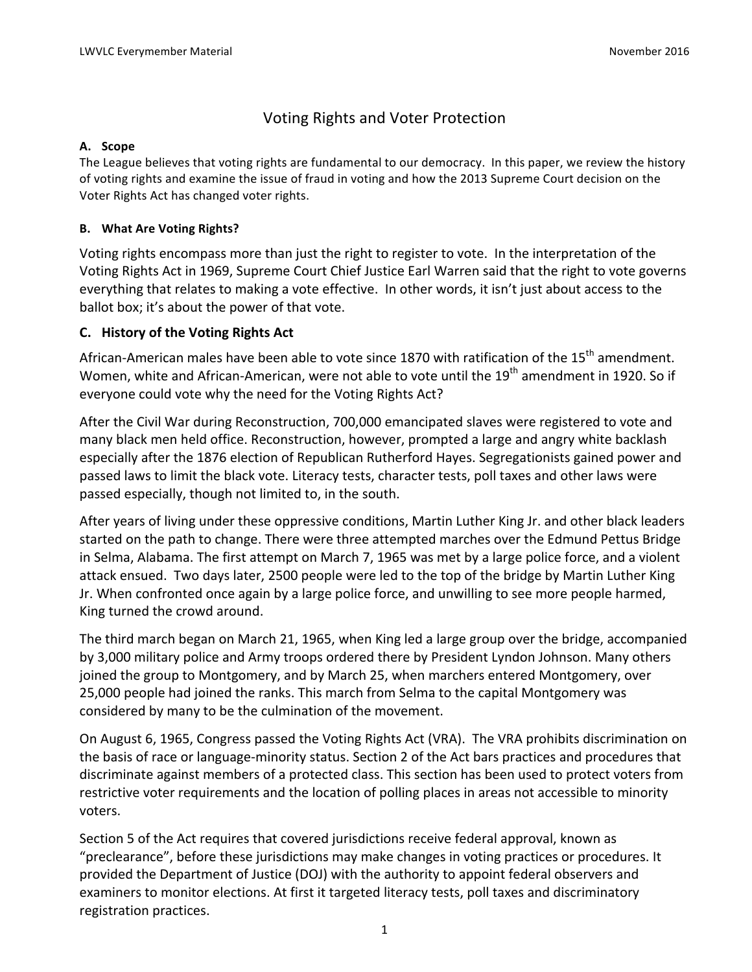# Voting Rights and Voter Protection

#### **A. Scope**

The League believes that voting rights are fundamental to our democracy. In this paper, we review the history of voting rights and examine the issue of fraud in voting and how the 2013 Supreme Court decision on the Voter Rights Act has changed voter rights.

#### **B. What Are Voting Rights?**

Voting rights encompass more than just the right to register to vote. In the interpretation of the Voting Rights Act in 1969, Supreme Court Chief Justice Earl Warren said that the right to vote governs everything that relates to making a vote effective. In other words, it isn't just about access to the ballot box; it's about the power of that vote.

#### **C. History of the Voting Rights Act**

African-American males have been able to vote since 1870 with ratification of the  $15^{th}$  amendment. Women, white and African-American, were not able to vote until the 19<sup>th</sup> amendment in 1920. So if everyone could vote why the need for the Voting Rights Act?

After the Civil War during Reconstruction, 700,000 emancipated slaves were registered to vote and many black men held office. Reconstruction, however, prompted a large and angry white backlash especially after the 1876 election of Republican Rutherford Hayes. Segregationists gained power and passed laws to limit the black vote. Literacy tests, character tests, poll taxes and other laws were passed especially, though not limited to, in the south.

After years of living under these oppressive conditions, Martin Luther King Jr. and other black leaders started on the path to change. There were three attempted marches over the Edmund Pettus Bridge in Selma, Alabama. The first attempt on March 7, 1965 was met by a large police force, and a violent attack ensued. Two days later, 2500 people were led to the top of the bridge by Martin Luther King Jr. When confronted once again by a large police force, and unwilling to see more people harmed, King turned the crowd around.

The third march began on March 21, 1965, when King led a large group over the bridge, accompanied by 3,000 military police and Army troops ordered there by President Lyndon Johnson. Many others joined the group to Montgomery, and by March 25, when marchers entered Montgomery, over 25,000 people had joined the ranks. This march from Selma to the capital Montgomery was considered by many to be the culmination of the movement.

On August 6, 1965, Congress passed the Voting Rights Act (VRA). The VRA prohibits discrimination on the basis of race or language-minority status. Section 2 of the Act bars practices and procedures that discriminate against members of a protected class. This section has been used to protect voters from restrictive voter requirements and the location of polling places in areas not accessible to minority voters. 

Section 5 of the Act requires that covered jurisdictions receive federal approval, known as "preclearance", before these jurisdictions may make changes in voting practices or procedures. It provided the Department of Justice (DOJ) with the authority to appoint federal observers and examiners to monitor elections. At first it targeted literacy tests, poll taxes and discriminatory registration practices.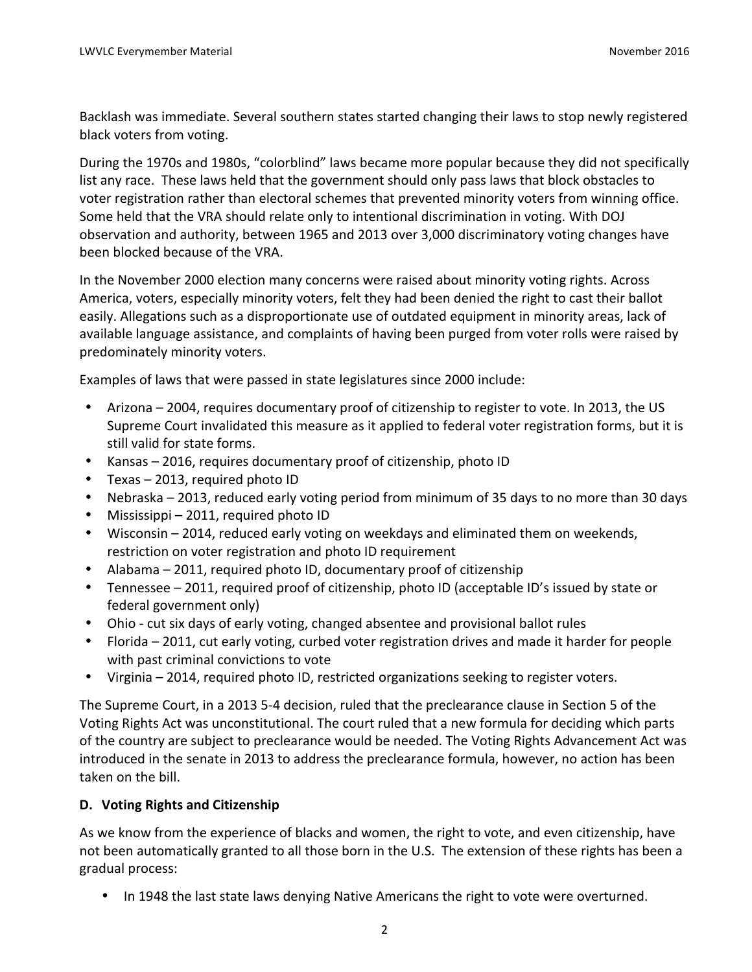Backlash was immediate. Several southern states started changing their laws to stop newly registered black voters from voting.

During the 1970s and 1980s, "colorblind" laws became more popular because they did not specifically list any race. These laws held that the government should only pass laws that block obstacles to voter registration rather than electoral schemes that prevented minority voters from winning office. Some held that the VRA should relate only to intentional discrimination in voting. With DOJ observation and authority, between 1965 and 2013 over 3,000 discriminatory voting changes have been blocked because of the VRA.

In the November 2000 election many concerns were raised about minority voting rights. Across America, voters, especially minority voters, felt they had been denied the right to cast their ballot easily. Allegations such as a disproportionate use of outdated equipment in minority areas, lack of available language assistance, and complaints of having been purged from voter rolls were raised by predominately minority voters.

Examples of laws that were passed in state legislatures since 2000 include:

- Arizona 2004, requires documentary proof of citizenship to register to vote. In 2013, the US Supreme Court invalidated this measure as it applied to federal voter registration forms, but it is still valid for state forms.
- Kansas 2016, requires documentary proof of citizenship, photo ID
- Texas  $-$  2013, required photo ID
- Nebraska 2013, reduced early voting period from minimum of 35 days to no more than 30 days
- Mississippi  $-2011$ , required photo ID
- Wisconsin  $-$  2014, reduced early voting on weekdays and eliminated them on weekends, restriction on voter registration and photo ID requirement
- Alabama  $-$  2011, required photo ID, documentary proof of citizenship
- Tennessee 2011, required proof of citizenship, photo ID (acceptable ID's issued by state or federal government only)
- Ohio cut six days of early voting, changed absentee and provisional ballot rules
- Florida 2011, cut early voting, curbed voter registration drives and made it harder for people with past criminal convictions to vote
- Virginia 2014, required photo ID, restricted organizations seeking to register voters.

The Supreme Court, in a 2013 5-4 decision, ruled that the preclearance clause in Section 5 of the Voting Rights Act was unconstitutional. The court ruled that a new formula for deciding which parts of the country are subject to preclearance would be needed. The Voting Rights Advancement Act was introduced in the senate in 2013 to address the preclearance formula, however, no action has been taken on the bill.

# **D.** Voting Rights and Citizenship

As we know from the experience of blacks and women, the right to vote, and even citizenship, have not been automatically granted to all those born in the U.S. The extension of these rights has been a gradual process:

• In 1948 the last state laws denying Native Americans the right to vote were overturned.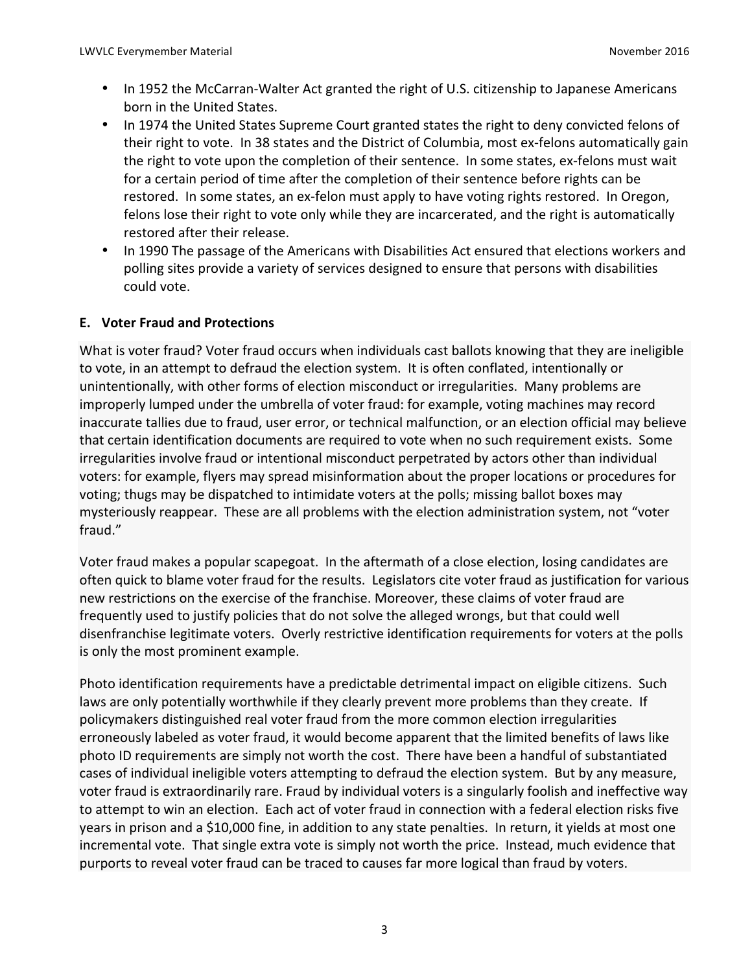- In 1952 the McCarran-Walter Act granted the right of U.S. citizenship to Japanese Americans born in the United States.
- In 1974 the United States Supreme Court granted states the right to deny convicted felons of their right to vote. In 38 states and the District of Columbia, most ex-felons automatically gain the right to vote upon the completion of their sentence. In some states, ex-felons must wait for a certain period of time after the completion of their sentence before rights can be restored. In some states, an ex-felon must apply to have voting rights restored. In Oregon, felons lose their right to vote only while they are incarcerated, and the right is automatically restored after their release.
- In 1990 The passage of the Americans with Disabilities Act ensured that elections workers and polling sites provide a variety of services designed to ensure that persons with disabilities could vote.

# **E. Voter Fraud and Protections**

What is voter fraud? Voter fraud occurs when individuals cast ballots knowing that they are ineligible to vote, in an attempt to defraud the election system. It is often conflated, intentionally or unintentionally, with other forms of election misconduct or irregularities. Many problems are improperly lumped under the umbrella of voter fraud: for example, voting machines may record inaccurate tallies due to fraud, user error, or technical malfunction, or an election official may believe that certain identification documents are required to vote when no such requirement exists. Some irregularities involve fraud or intentional misconduct perpetrated by actors other than individual voters: for example, flyers may spread misinformation about the proper locations or procedures for voting; thugs may be dispatched to intimidate voters at the polls; missing ballot boxes may mysteriously reappear. These are all problems with the election administration system, not "voter fraud." 

Voter fraud makes a popular scapegoat. In the aftermath of a close election, losing candidates are often quick to blame voter fraud for the results. Legislators cite voter fraud as justification for various new restrictions on the exercise of the franchise. Moreover, these claims of voter fraud are frequently used to justify policies that do not solve the alleged wrongs, but that could well disenfranchise legitimate voters. Overly restrictive identification requirements for voters at the polls is only the most prominent example.

Photo identification requirements have a predictable detrimental impact on eligible citizens. Such laws are only potentially worthwhile if they clearly prevent more problems than they create. If policymakers distinguished real voter fraud from the more common election irregularities erroneously labeled as voter fraud, it would become apparent that the limited benefits of laws like photo ID requirements are simply not worth the cost. There have been a handful of substantiated cases of individual ineligible voters attempting to defraud the election system. But by any measure, voter fraud is extraordinarily rare. Fraud by individual voters is a singularly foolish and ineffective way to attempt to win an election. Each act of voter fraud in connection with a federal election risks five years in prison and a \$10,000 fine, in addition to any state penalties. In return, it yields at most one incremental vote. That single extra vote is simply not worth the price. Instead, much evidence that purports to reveal voter fraud can be traced to causes far more logical than fraud by voters.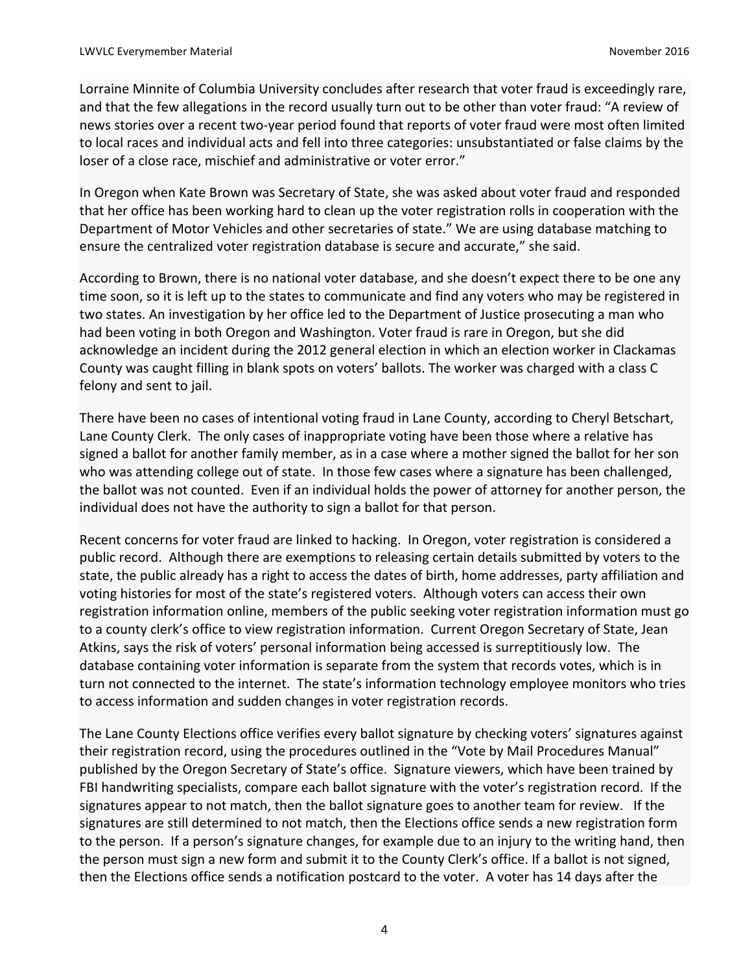Lorraine Minnite of Columbia University concludes after research that voter fraud is exceedingly rare, and that the few allegations in the record usually turn out to be other than voter fraud: "A review of news stories over a recent two-year period found that reports of voter fraud were most often limited to local races and individual acts and fell into three categories: unsubstantiated or false claims by the loser of a close race, mischief and administrative or voter error."

In Oregon when Kate Brown was Secretary of State, she was asked about voter fraud and responded that her office has been working hard to clean up the voter registration rolls in cooperation with the Department of Motor Vehicles and other secretaries of state." We are using database matching to ensure the centralized voter registration database is secure and accurate," she said.

According to Brown, there is no national voter database, and she doesn't expect there to be one any time soon, so it is left up to the states to communicate and find any voters who may be registered in two states. An investigation by her office led to the Department of Justice prosecuting a man who had been voting in both Oregon and Washington. Voter fraud is rare in Oregon, but she did acknowledge an incident during the 2012 general election in which an election worker in Clackamas County was caught filling in blank spots on voters' ballots. The worker was charged with a class C felony and sent to jail.

There have been no cases of intentional voting fraud in Lane County, according to Cheryl Betschart, Lane County Clerk. The only cases of inappropriate voting have been those where a relative has signed a ballot for another family member, as in a case where a mother signed the ballot for her son who was attending college out of state. In those few cases where a signature has been challenged, the ballot was not counted. Even if an individual holds the power of attorney for another person, the individual does not have the authority to sign a ballot for that person.

Recent concerns for voter fraud are linked to hacking. In Oregon, voter registration is considered a public record. Although there are exemptions to releasing certain details submitted by voters to the state, the public already has a right to access the dates of birth, home addresses, party affiliation and voting histories for most of the state's registered voters. Although voters can access their own registration information online, members of the public seeking voter registration information must go to a county clerk's office to view registration information. Current Oregon Secretary of State, Jean Atkins, says the risk of voters' personal information being accessed is surreptitiously low. The database containing voter information is separate from the system that records votes, which is in turn not connected to the internet. The state's information technology employee monitors who tries to access information and sudden changes in voter registration records.

The Lane County Elections office verifies every ballot signature by checking voters' signatures against their registration record, using the procedures outlined in the "Vote by Mail Procedures Manual" published by the Oregon Secretary of State's office. Signature viewers, which have been trained by FBI handwriting specialists, compare each ballot signature with the voter's registration record. If the signatures appear to not match, then the ballot signature goes to another team for review. If the signatures are still determined to not match, then the Elections office sends a new registration form to the person. If a person's signature changes, for example due to an injury to the writing hand, then the person must sign a new form and submit it to the County Clerk's office. If a ballot is not signed, then the Elections office sends a notification postcard to the voter. A voter has 14 days after the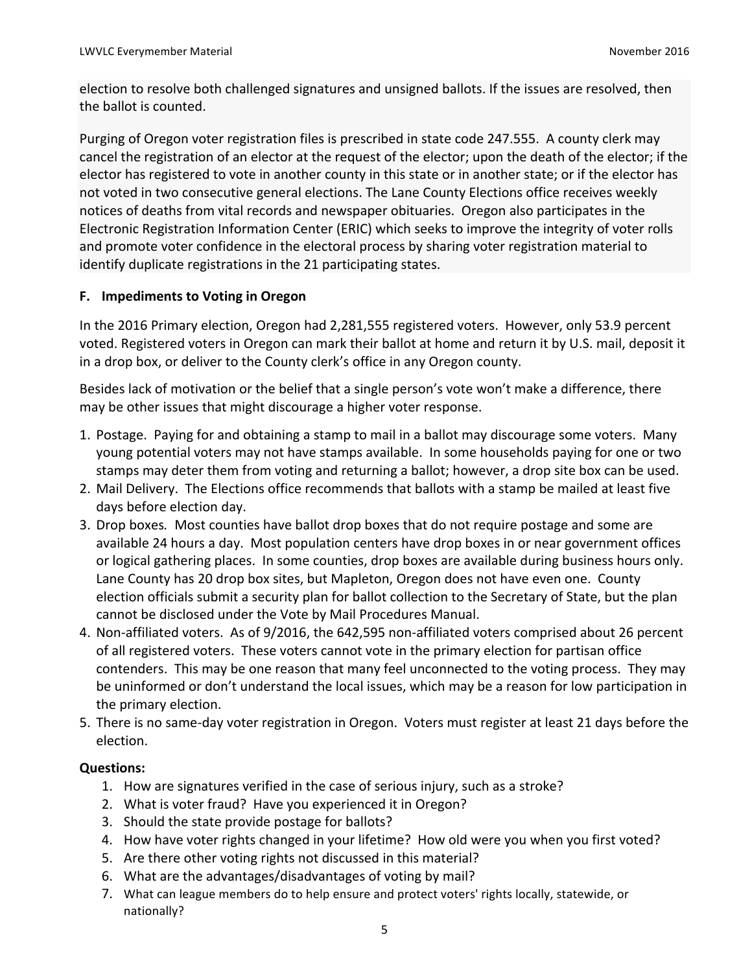election to resolve both challenged signatures and unsigned ballots. If the issues are resolved, then the ballot is counted.

Purging of Oregon voter registration files is prescribed in state code 247.555. A county clerk may cancel the registration of an elector at the request of the elector; upon the death of the elector; if the elector has registered to vote in another county in this state or in another state; or if the elector has not voted in two consecutive general elections. The Lane County Elections office receives weekly notices of deaths from vital records and newspaper obituaries. Oregon also participates in the Electronic Registration Information Center (ERIC) which seeks to improve the integrity of voter rolls and promote voter confidence in the electoral process by sharing voter registration material to identify duplicate registrations in the 21 participating states.

# **F.** Impediments to Voting in Oregon

In the 2016 Primary election, Oregon had 2,281,555 registered voters. However, only 53.9 percent voted. Registered voters in Oregon can mark their ballot at home and return it by U.S. mail, deposit it in a drop box, or deliver to the County clerk's office in any Oregon county.

Besides lack of motivation or the belief that a single person's vote won't make a difference, there may be other issues that might discourage a higher voter response.

- 1. Postage. Paying for and obtaining a stamp to mail in a ballot may discourage some voters. Many young potential voters may not have stamps available. In some households paying for one or two stamps may deter them from voting and returning a ballot; however, a drop site box can be used.
- 2. Mail Delivery. The Elections office recommends that ballots with a stamp be mailed at least five days before election day.
- 3. Drop boxes. Most counties have ballot drop boxes that do not require postage and some are available 24 hours a day. Most population centers have drop boxes in or near government offices or logical gathering places. In some counties, drop boxes are available during business hours only. Lane County has 20 drop box sites, but Mapleton, Oregon does not have even one. County election officials submit a security plan for ballot collection to the Secretary of State, but the plan cannot be disclosed under the Vote by Mail Procedures Manual.
- 4. Non-affiliated voters. As of 9/2016, the 642,595 non-affiliated voters comprised about 26 percent of all registered voters. These voters cannot vote in the primary election for partisan office contenders. This may be one reason that many feel unconnected to the voting process. They may be uninformed or don't understand the local issues, which may be a reason for low participation in the primary election.
- 5. There is no same-day voter registration in Oregon. Voters must register at least 21 days before the election.

# **Questions:**

- 1. How are signatures verified in the case of serious injury, such as a stroke?
- 2. What is voter fraud? Have you experienced it in Oregon?
- 3. Should the state provide postage for ballots?
- 4. How have voter rights changed in your lifetime? How old were you when you first voted?
- 5. Are there other voting rights not discussed in this material?
- 6. What are the advantages/disadvantages of voting by mail?
- 7. What can league members do to help ensure and protect voters' rights locally, statewide, or nationally?